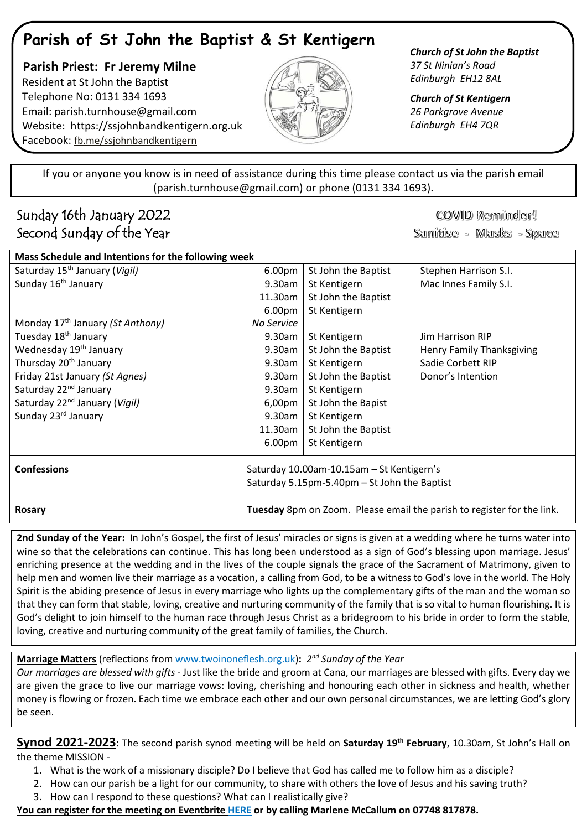# **Parish of St John the Baptist & St Kentigern**

 **Parish Priest: Fr Jeremy Milne** Resident at St John the Baptist Telephone No: 0131 334 1693 Email: [parish.turnhouse@gmail.com](mailto:parish.turnhouse@gmail.com)  Website: [https://ssjohnbandkentigern.org.uk](https://ssjohnbandkentigern.org.uk/) Facebook: [fb.me/ssjohnbandkentigern](https://fb.me/ssjohnbandkentigern)



*Church of St John the Baptist 37 St Ninian's Road Edinburgh EH12 8AL*

*Church of St Kentigern 26 Parkgrove Avenue Edinburgh EH4 7QR*

֡֡֡֡֡ If you or anyone you know is in need of assistance during this time please contact us via the parish email (parish.turnhouse@gmail.com) or phone (0131 334 1693). I

j

## Sunday 16th January 2022 Second Sunday of the Year

COVID Reminder! Sanitise - Masks - Space

| Mass Schedule and Intentions for the following week |                                                                               |                     |                           |
|-----------------------------------------------------|-------------------------------------------------------------------------------|---------------------|---------------------------|
| Saturday 15 <sup>th</sup> January (Vigil)           | 6.00 <sub>pm</sub>                                                            | St John the Baptist | Stephen Harrison S.I.     |
| Sunday 16 <sup>th</sup> January                     | 9.30am                                                                        | St Kentigern        | Mac Innes Family S.I.     |
|                                                     | 11.30am                                                                       | St John the Baptist |                           |
|                                                     | 6.00 <sub>pm</sub>                                                            | St Kentigern        |                           |
| Monday 17 <sup>th</sup> January (St Anthony)        | No Service                                                                    |                     |                           |
| Tuesday 18 <sup>th</sup> January                    | 9.30am                                                                        | St Kentigern        | Jim Harrison RIP          |
| Wednesday 19 <sup>th</sup> January                  | $9.30$ am                                                                     | St John the Baptist | Henry Family Thanksgiving |
| Thursday 20 <sup>th</sup> January                   | 9.30am                                                                        | St Kentigern        | Sadie Corbett RIP         |
| Friday 21st January (St Agnes)                      | 9.30am                                                                        | St John the Baptist | Donor's Intention         |
| Saturday 22 <sup>nd</sup> January                   | 9.30am                                                                        | St Kentigern        |                           |
| Saturday 22 <sup>nd</sup> January (Vigil)           | 6,00pm                                                                        | St John the Bapist  |                           |
| Sunday 23 <sup>rd</sup> January                     | 9.30am                                                                        | St Kentigern        |                           |
|                                                     | 11.30am                                                                       | St John the Baptist |                           |
|                                                     | 6.00 <sub>pm</sub>                                                            | St Kentigern        |                           |
| <b>Confessions</b>                                  | Saturday 10.00am-10.15am - St Kentigern's                                     |                     |                           |
|                                                     | Saturday 5.15pm-5.40pm - St John the Baptist                                  |                     |                           |
| <b>Rosary</b>                                       | <b>Tuesday</b> 8pm on Zoom. Please email the parish to register for the link. |                     |                           |

**2nd Sunday of the Year:** In John's Gospel, the first of Jesus' miracles or signs is given at a wedding where he turns water into wine so that the celebrations can continue. This has long been understood as a sign of God's blessing upon marriage. Jesus' enriching presence at the wedding and in the lives of the couple signals the grace of the Sacrament of Matrimony, given to help men and women live their marriage as a vocation, a calling from God, to be a witness to God's love in the world. The Holy Spirit is the abiding presence of Jesus in every marriage who lights up the complementary gifts of the man and the woman so that they can form that stable, loving, creative and nurturing community of the family that is so vital to human flourishing. It is God's delight to join himself to the human race through Jesus Christ as a bridegroom to his bride in order to form the stable, loving, creative and nurturing community of the great family of families, the Church.

**Marriage Matters** (reflections fro[m www.twoinoneflesh.org.uk\)](https://d.docs.live.net/f73d0dbfde17d20a/Documents/Church%202020/Newsletter/November/www.twoinoneflesh.org.uk)**:** *2 nd Sunday of the Year*

*Our marriages are blessed with gifts* - Just like the bride and groom at Cana, our marriages are blessed with gifts. Every day we are given the grace to live our marriage vows: loving, cherishing and honouring each other in sickness and health, whether money is flowing or frozen. Each time we embrace each other and our own personal circumstances, we are letting God's glory be seen.

**Synod 2021-2023:** The second parish synod meeting will be held on **Saturday 19th February**, 10.30am, St John's Hall on the theme MISSION -

- 1. What is the work of a missionary disciple? Do I believe that God has called me to follow him as a disciple?
- 2. How can our parish be a light for our community, to share with others the love of Jesus and his saving truth?
- 3. How can I respond to these questions? What can I realistically give?

### **You can register for the meeting on Eventbrite [HERE](https://www.eventbrite.co.uk/e/parish-synod-meeting-tickets-212714754557) or by calling Marlene McCallum on 07748 817878.**